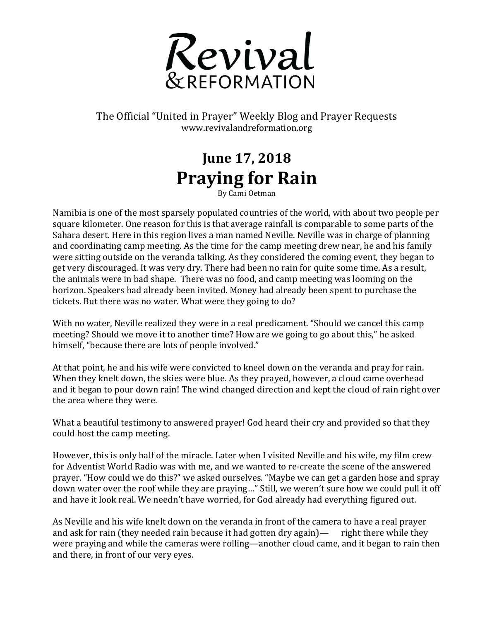

The Official "United in Prayer" Weekly Blog and Prayer Requests www.revivalandreformation.org

## **June 17, 2018 Praying for Rain** By Cami Oetman

Namibia is one of the most sparsely populated countries of the world, with about two people per square kilometer. One reason for this is that average rainfall is comparable to some parts of the Sahara desert. Here in this region lives a man named Neville. Neville was in charge of planning and coordinating camp meeting. As the time for the camp meeting drew near, he and his family were sitting outside on the veranda talking. As they considered the coming event, they began to get very discouraged. It was very dry. There had been no rain for quite some time. As a result, the animals were in bad shape. There was no food, and camp meeting was looming on the horizon. Speakers had already been invited. Money had already been spent to purchase the tickets. But there was no water. What were they going to do?

With no water, Neville realized they were in a real predicament. "Should we cancel this camp meeting? Should we move it to another time? How are we going to go about this," he asked himself, "because there are lots of people involved."

At that point, he and his wife were convicted to kneel down on the veranda and pray for rain. When they knelt down, the skies were blue. As they prayed, however, a cloud came overhead and it began to pour down rain! The wind changed direction and kept the cloud of rain right over the area where they were.

What a beautiful testimony to answered prayer! God heard their cry and provided so that they could host the camp meeting.

However, this is only half of the miracle. Later when I visited Neville and his wife, my film crew for Adventist World Radio was with me, and we wanted to re-create the scene of the answered prayer. "How could we do this?" we asked ourselves. "Maybe we can get a garden hose and spray down water over the roof while they are praying..." Still, we weren't sure how we could pull it off and have it look real. We needn't have worried, for God already had everything figured out.

As Neville and his wife knelt down on the veranda in front of the camera to have a real prayer and ask for rain (they needed rain because it had gotten dry again)—  $\Gamma$  right there while they were praying and while the cameras were rolling—another cloud came, and it began to rain then and there, in front of our very eyes.